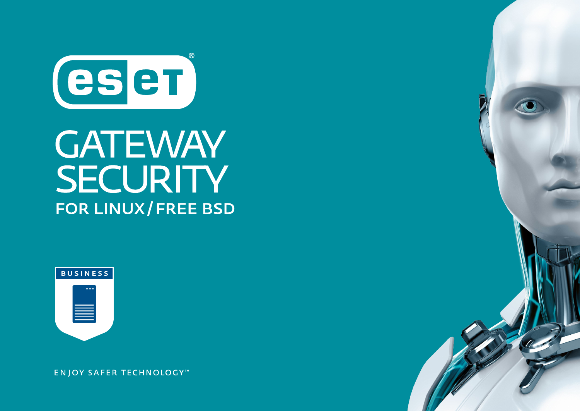

## **GATEWAY** SECURITY FOR LINUX/FREE BSD



**ENJOY SAFER TECHNOLOGY™**